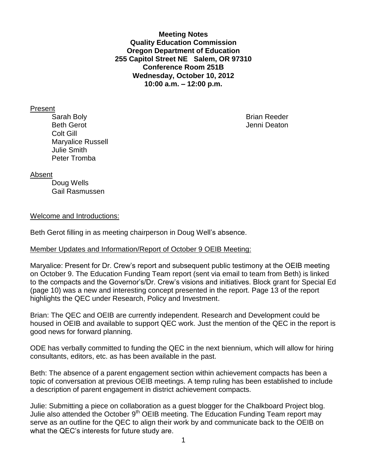**Meeting Notes Quality Education Commission Oregon Department of Education 255 Capitol Street NE Salem, OR 97310 Conference Room 251B Wednesday, October 10, 2012 10:00 a.m. – 12:00 p.m.**

Present

Sarah Boly **Brian Reeder Brian Reeder** Beth Gerot **Gerot** Jenni Deaton **Jenni Deaton** Colt Gill Maryalice Russell Julie Smith Peter Tromba

#### Absent

Doug Wells Gail Rasmussen

## Welcome and Introductions:

Beth Gerot filling in as meeting chairperson in Doug Well's absence.

## Member Updates and Information/Report of October 9 OEIB Meeting:

Maryalice: Present for Dr. Crew's report and subsequent public testimony at the OEIB meeting on October 9. The Education Funding Team report (sent via email to team from Beth) is linked to the compacts and the Governor's/Dr. Crew's visions and initiatives. Block grant for Special Ed (page 10) was a new and interesting concept presented in the report. Page 13 of the report highlights the QEC under Research, Policy and Investment.

Brian: The QEC and OEIB are currently independent. Research and Development could be housed in OEIB and available to support QEC work. Just the mention of the QEC in the report is good news for forward planning.

ODE has verbally committed to funding the QEC in the next biennium, which will allow for hiring consultants, editors, etc. as has been available in the past.

Beth: The absence of a parent engagement section within achievement compacts has been a topic of conversation at previous OEIB meetings. A temp ruling has been established to include a description of parent engagement in district achievement compacts.

Julie: Submitting a piece on collaboration as a guest blogger for the Chalkboard Project blog. Julie also attended the October 9<sup>th</sup> OEIB meeting. The Education Funding Team report may serve as an outline for the QEC to align their work by and communicate back to the OEIB on what the QEC's interests for future study are.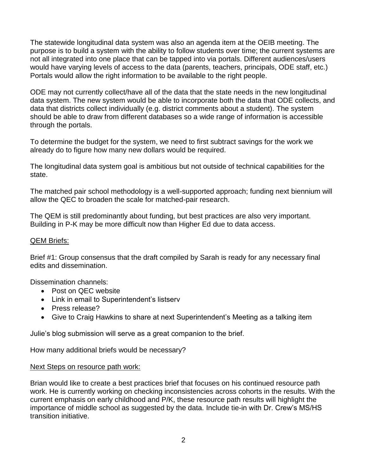The statewide longitudinal data system was also an agenda item at the OEIB meeting. The purpose is to build a system with the ability to follow students over time; the current systems are not all integrated into one place that can be tapped into via portals. Different audiences/users would have varying levels of access to the data (parents, teachers, principals, ODE staff, etc.) Portals would allow the right information to be available to the right people.

ODE may not currently collect/have all of the data that the state needs in the new longitudinal data system. The new system would be able to incorporate both the data that ODE collects, and data that districts collect individually (e.g. district comments about a student). The system should be able to draw from different databases so a wide range of information is accessible through the portals.

To determine the budget for the system, we need to first subtract savings for the work we already do to figure how many new dollars would be required.

The longitudinal data system goal is ambitious but not outside of technical capabilities for the state.

The matched pair school methodology is a well-supported approach; funding next biennium will allow the QEC to broaden the scale for matched-pair research.

The QEM is still predominantly about funding, but best practices are also very important. Building in P-K may be more difficult now than Higher Ed due to data access.

## QEM Briefs:

Brief #1: Group consensus that the draft compiled by Sarah is ready for any necessary final edits and dissemination.

Dissemination channels:

- Post on QEC website
- Link in email to Superintendent's listserv
- Press release?
- Give to Craig Hawkins to share at next Superintendent's Meeting as a talking item

Julie's blog submission will serve as a great companion to the brief.

How many additional briefs would be necessary?

#### Next Steps on resource path work:

Brian would like to create a best practices brief that focuses on his continued resource path work. He is currently working on checking inconsistencies across cohorts in the results. With the current emphasis on early childhood and P/K, these resource path results will highlight the importance of middle school as suggested by the data. Include tie-in with Dr. Crew's MS/HS transition initiative.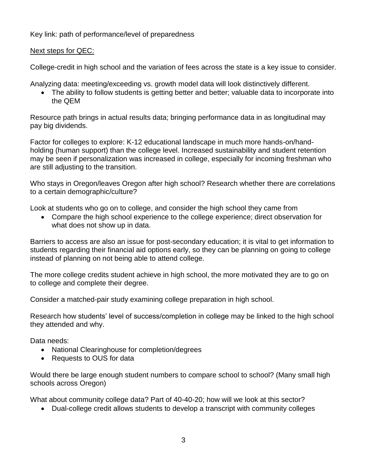Key link: path of performance/level of preparedness

# Next steps for QEC:

College-credit in high school and the variation of fees across the state is a key issue to consider.

Analyzing data: meeting/exceeding vs. growth model data will look distinctively different.

• The ability to follow students is getting better and better; valuable data to incorporate into the QEM

Resource path brings in actual results data; bringing performance data in as longitudinal may pay big dividends.

Factor for colleges to explore: K-12 educational landscape in much more hands-on/handholding (human support) than the college level. Increased sustainability and student retention may be seen if personalization was increased in college, especially for incoming freshman who are still adjusting to the transition.

Who stays in Oregon/leaves Oregon after high school? Research whether there are correlations to a certain demographic/culture?

Look at students who go on to college, and consider the high school they came from

 Compare the high school experience to the college experience; direct observation for what does not show up in data.

Barriers to access are also an issue for post-secondary education; it is vital to get information to students regarding their financial aid options early, so they can be planning on going to college instead of planning on not being able to attend college.

The more college credits student achieve in high school, the more motivated they are to go on to college and complete their degree.

Consider a matched-pair study examining college preparation in high school.

Research how students' level of success/completion in college may be linked to the high school they attended and why.

Data needs:

- National Clearinghouse for completion/degrees
- Requests to OUS for data

Would there be large enough student numbers to compare school to school? (Many small high schools across Oregon)

What about community college data? Part of 40-40-20; how will we look at this sector?

Dual-college credit allows students to develop a transcript with community colleges